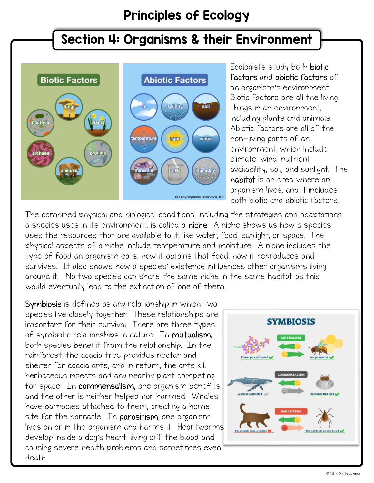## Principles of Ecology

## Section 4: Organisms & their Environment



Ecologists study both biotic factors and abiotic factors of an organism's environment. Biotic factors are all the living things in an environment, including plants and animals. Abiotic factors are all of the non-living parts of an environment, which include climate, wind, nutrient availability, soil, and sunlight. The habitat is an area where an organism lives, and it includes both biotic and abiotic factors.

The combined physical and biological conditions, including the strategies and adaptations a species uses in its environment, is called a niche. A niche shows us how a species uses the resources that are available to it, like water, food, sunlight, or space. The physical aspects of a niche include temperature and moisture. A niche includes the type of food an organism eats, how it obtains that food, how it reproduces and survives. It also shows how a species' existence influences other organisms living around it. No two species can share the same niche in the same habitat as this would eventually lead to the extinction of one of them.

Symbiosis is defined as any relationship in which two species live closely together. These relationships are important for their survival. There are three types of symbiotic relationships in nature. In mutualism, both species benefit from the relationship. In the rainforest, the acacia tree provides nectar and shelter for acacia ants, and in return, the ants kill herbaceous insects and any nearby plant competing for space. In commensalism, one organism benefits and the other is neither helped nor harmed. Whales have barnacles attached to them, creating a home site for the barnacle. In parasitism, one organism lives on or in the organism and harms it. Heartworms develop inside a dog's heart, living off the blood and causing severe health problems and sometimes even death.